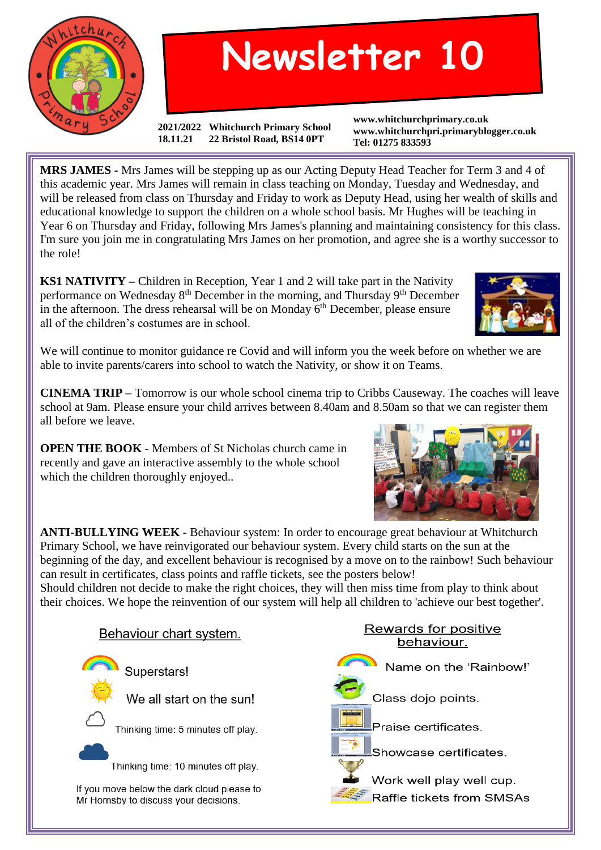

## **Newsletter 10**

**2021/2022 Whitchurch Primary School 18.11.21 22 Bristol Road, BS14 0PT**

**www.whitchurchprimary.co.uk www.whitchurchpri.primaryblogger.co.uk Tel: 01275 833593**

**MRS JAMES -** Mrs James will be stepping up as our Acting Deputy Head Teacher for Term 3 and 4 of this academic year. Mrs James will remain in class teaching on Monday, Tuesday and Wednesday, and will be released from class on Thursday and Friday to work as Deputy Head, using her wealth of skills and educational knowledge to support the children on a whole school basis. Mr Hughes will be teaching in Year 6 on Thursday and Friday, following Mrs James's planning and maintaining consistency for this class. I'm sure you join me in congratulating Mrs James on her promotion, and agree she is a worthy successor to the role!

**KS1 NATIVITY –** Children in Reception, Year 1 and 2 will take part in the Nativity performance on Wednesday 8<sup>th</sup> December in the morning, and Thursday 9<sup>th</sup> December in the afternoon. The dress rehearsal will be on Monday 6<sup>th</sup> December, please ensure all of the children's costumes are in school.



We will continue to monitor guidance re Covid and will inform you the week before on whether we are able to invite parents/carers into school to watch the Nativity, or show it on Teams.

**CINEMA TRIP –** Tomorrow is our whole school cinema trip to Cribbs Causeway. The coaches will leave school at 9am. Please ensure your child arrives between 8.40am and 8.50am so that we can register them all before we leave.

**OPEN THE BOOK** - Members of St Nicholas church came in recently and gave an interactive assembly to the whole school which the children thoroughly enjoyed..



**ANTI-BULLYING WEEK -** Behaviour system: In order to encourage great behaviour at Whitchurch Primary School, we have reinvigorated our behaviour system. Every child starts on the sun at the beginning of the day, and excellent behaviour is recognised by a move on to the rainbow! Such behaviour can result in certificates, class points and raffle tickets, see the posters below!

Should children not decide to make the right choices, they will then miss time from play to think about their choices. We hope the reinvention of our system will help all children to 'achieve our best together'.



Rewards for positive behaviour.

Name on the 'Rainbow!'

Class dojo points.

Praise certificates.

Showcase certificates.

Work well play well cup. Raffle tickets from SMSAs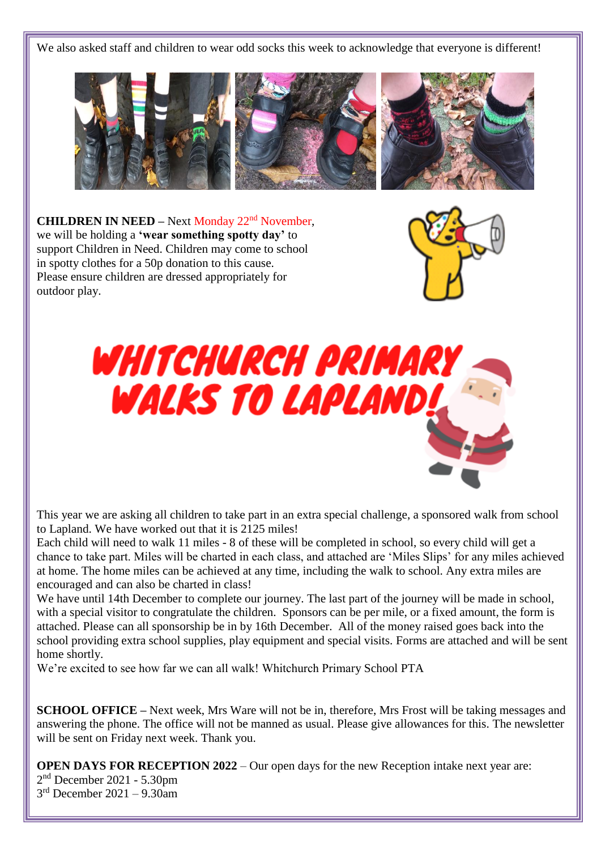We also asked staff and children to wear odd socks this week to acknowledge that everyone is different!



**CHILDREN IN NEED –** Next Monday 22<sup>nd</sup> November, we will be holding a **'wear something spotty day'** to support Children in Need. Children may come to school in spotty clothes for a 50p donation to this cause. Please ensure children are dressed appropriately for outdoor play.





This year we are asking all children to take part in an extra special challenge, a sponsored walk from school to Lapland. We have worked out that it is 2125 miles!

Each child will need to walk 11 miles - 8 of these will be completed in school, so every child will get a chance to take part. Miles will be charted in each class, and attached are 'Miles Slips' for any miles achieved at home. The home miles can be achieved at any time, including the walk to school. Any extra miles are encouraged and can also be charted in class!

We have until 14th December to complete our journey. The last part of the journey will be made in school, with a special visitor to congratulate the children. Sponsors can be per mile, or a fixed amount, the form is attached. Please can all sponsorship be in by 16th December. All of the money raised goes back into the school providing extra school supplies, play equipment and special visits. Forms are attached and will be sent home shortly.

We're excited to see how far we can all walk! Whitchurch Primary School PTA

**SCHOOL OFFICE** – Next week, Mrs Ware will not be in, therefore, Mrs Frost will be taking messages and answering the phone. The office will not be manned as usual. Please give allowances for this. The newsletter will be sent on Friday next week. Thank you.

**OPEN DAYS FOR RECEPTION 2022** – Our open days for the new Reception intake next year are: 2 nd December 2021 - 5.30pm

3 rd December 2021 – 9.30am